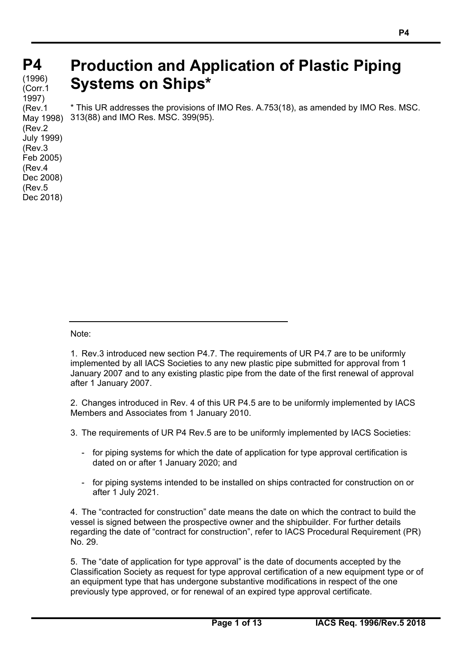# **P4 P4**

#### **(cont)** (1996) (Corr.1 1997) (Rev.1 May 1998) (Rev.2 July 1999) (Rev.3 Feb 2005) (Rev.4 Dec 2008) (Rev.5 Dec 2018)

# **Production and Application of Plastic Piping Systems on Ships\***

\* This UR addresses the provisions of IMO Res. A.753(18), as amended by IMO Res. MSC. 313(88) and IMO Res. MSC. 399(95).

Note:

 $\overline{a}$ 

1. Rev.3 introduced new section P4.7. The requirements of UR P4.7 are to be uniformly implemented by all IACS Societies to any new plastic pipe submitted for approval from 1 January 2007 and to any existing plastic pipe from the date of the first renewal of approval after 1 January 2007.

2. Changes introduced in Rev. 4 of this UR P4.5 are to be uniformly implemented by IACS Members and Associates from 1 January 2010.

3. The requirements of UR P4 Rev.5 are to be uniformly implemented by IACS Societies:

- for piping systems for which the date of application for type approval certification is dated on or after 1 January 2020; and
- for piping systems intended to be installed on ships contracted for construction on or after 1 July 2021.

4. The "contracted for construction" date means the date on which the contract to build the vessel is signed between the prospective owner and the shipbuilder. For further details regarding the date of "contract for construction", refer to IACS Procedural Requirement (PR) No. 29.

5. The "date of application for type approval" is the date of documents accepted by the Classification Society as request for type approval certification of a new equipment type or of an equipment type that has undergone substantive modifications in respect of the one previously type approved, or for renewal of an expired type approval certificate.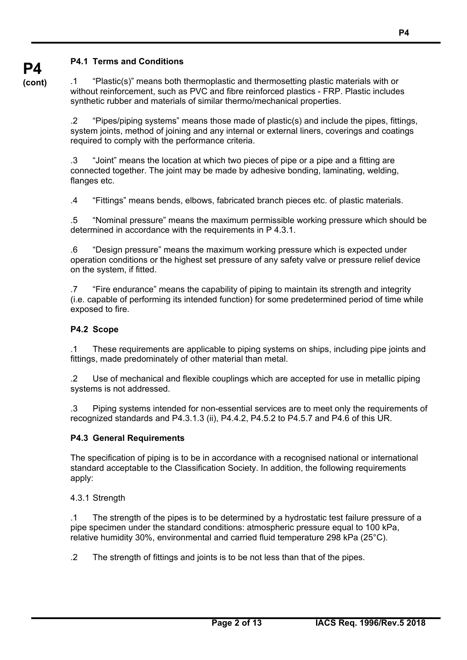## **P4.1 Terms and Conditions**

**P4 (cont)**

.1 "Plastic(s)" means both thermoplastic and thermosetting plastic materials with or without reinforcement, such as PVC and fibre reinforced plastics - FRP. Plastic includes synthetic rubber and materials of similar thermo/mechanical properties.

.2 "Pipes/piping systems" means those made of plastic(s) and include the pipes, fittings, system joints, method of joining and any internal or external liners, coverings and coatings required to comply with the performance criteria.

.3 "Joint" means the location at which two pieces of pipe or a pipe and a fitting are connected together. The joint may be made by adhesive bonding, laminating, welding, flanges etc.

.4 "Fittings" means bends, elbows, fabricated branch pieces etc. of plastic materials.

.5 "Nominal pressure" means the maximum permissible working pressure which should be determined in accordance with the requirements in P 4.3.1.

.6 "Design pressure" means the maximum working pressure which is expected under operation conditions or the highest set pressure of any safety valve or pressure relief device on the system, if fitted.

.7 "Fire endurance" means the capability of piping to maintain its strength and integrity (i.e. capable of performing its intended function) for some predetermined period of time while exposed to fire.

#### **P4.2 Scope**

.1 These requirements are applicable to piping systems on ships, including pipe joints and fittings, made predominately of other material than metal.

.2 Use of mechanical and flexible couplings which are accepted for use in metallic piping systems is not addressed.

.3 Piping systems intended for non-essential services are to meet only the requirements of recognized standards and P4.3.1.3 (ii), P4.4.2, P4.5.2 to P4.5.7 and P4.6 of this UR.

#### **P4.3 General Requirements**

The specification of piping is to be in accordance with a recognised national or international standard acceptable to the Classification Society. In addition, the following requirements apply:

4.3.1 Strength

 $\overline{a}$ 

.1 The strength of the pipes is to be determined by a hydrostatic test failure pressure of a pipe specimen under the standard conditions: atmospheric pressure equal to 100 kPa, relative humidity 30%, environmental and carried fluid temperature 298 kPa (25°C).

.2 The strength of fittings and joints is to be not less than that of the pipes.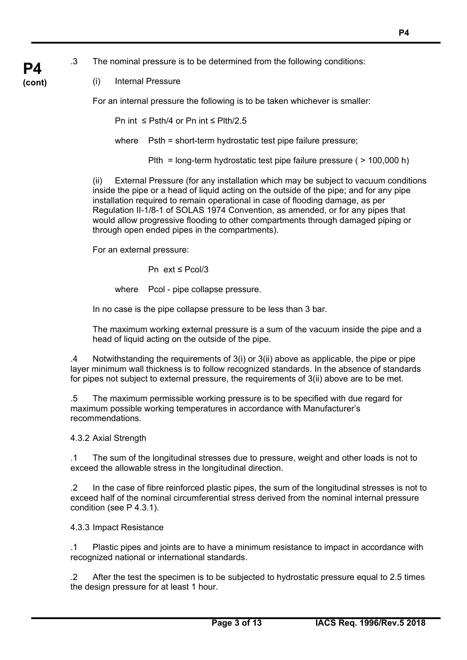.3 The nominal pressure is to be determined from the following conditions:

### (i) Internal Pressure

**P4 (cont)**

For an internal pressure the following is to be taken whichever is smaller:

Pn int ≤ Psth/4 or Pn int ≤ Plth/2.5

where Psth = short-term hydrostatic test pipe failure pressure;

Plth = long-term hydrostatic test pipe failure pressure ( > 100,000 h)

(ii) External Pressure (for any installation which may be subject to vacuum conditions inside the pipe or a head of liquid acting on the outside of the pipe; and for any pipe installation required to remain operational in case of flooding damage, as per Regulation II-1/8-1 of SOLAS 1974 Convention, as amended, or for any pipes that would allow progressive flooding to other compartments through damaged piping or through open ended pipes in the compartments).

For an external pressure:

Pn ext ≤ Pcol/3

where Pcol - pipe collapse pressure.

In no case is the pipe collapse pressure to be less than 3 bar.

 The maximum working external pressure is a sum of the vacuum inside the pipe and a head of liquid acting on the outside of the pipe.

.4 Notwithstanding the requirements of 3(i) or 3(ii) above as applicable, the pipe or pipe layer minimum wall thickness is to follow recognized standards. In the absence of standards for pipes not subject to external pressure, the requirements of 3(ii) above are to be met.

.5 The maximum permissible working pressure is to be specified with due regard for maximum possible working temperatures in accordance with Manufacturer's recommendations.

4.3.2 Axial Strength

.1 The sum of the longitudinal stresses due to pressure, weight and other loads is not to exceed the allowable stress in the longitudinal direction.

.2 In the case of fibre reinforced plastic pipes, the sum of the longitudinal stresses is not to exceed half of the nominal circumferential stress derived from the nominal internal pressure condition (see P 4.3.1).

4.3.3 Impact Resistance

 $\overline{a}$ 

.1 Plastic pipes and joints are to have a minimum resistance to impact in accordance with recognized national or international standards.

.2 After the test the specimen is to be subjected to hydrostatic pressure equal to 2.5 times the design pressure for at least 1 hour.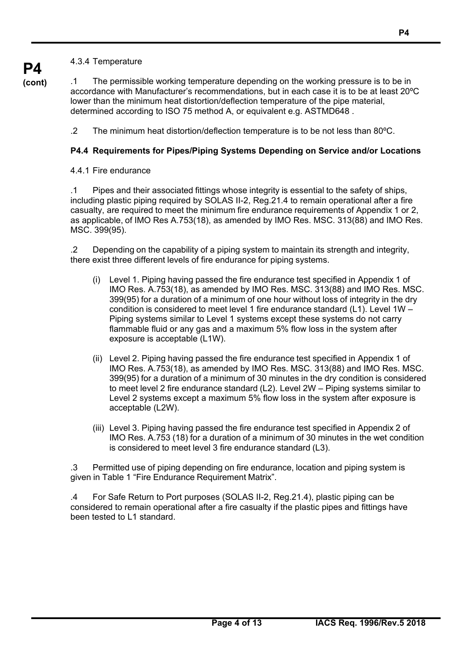4.3.4 Temperature

**P4 (cont)**

.1 The permissible working temperature depending on the working pressure is to be in accordance with Manufacturer's recommendations, but in each case it is to be at least 20ºC lower than the minimum heat distortion/deflection temperature of the pipe material, determined according to ISO 75 method A, or equivalent e.g. ASTMD648 .

.2 The minimum heat distortion/deflection temperature is to be not less than 80ºC.

# **P4.4 Requirements for Pipes/Piping Systems Depending on Service and/or Locations**

4.4.1 Fire endurance

 $\overline{a}$ 

.1 Pipes and their associated fittings whose integrity is essential to the safety of ships, including plastic piping required by SOLAS II-2, Reg.21.4 to remain operational after a fire casualty, are required to meet the minimum fire endurance requirements of Appendix 1 or 2, as applicable, of IMO Res A.753(18), as amended by IMO Res. MSC. 313(88) and IMO Res. MSC. 399(95).

.2 Depending on the capability of a piping system to maintain its strength and integrity, there exist three different levels of fire endurance for piping systems.

- (i) Level 1. Piping having passed the fire endurance test specified in Appendix 1 of IMO Res. A.753(18), as amended by IMO Res. MSC. 313(88) and IMO Res. MSC. 399(95) for a duration of a minimum of one hour without loss of integrity in the dry condition is considered to meet level 1 fire endurance standard (L1). Level 1W – Piping systems similar to Level 1 systems except these systems do not carry flammable fluid or any gas and a maximum 5% flow loss in the system after exposure is acceptable (L1W).
- (ii) Level 2. Piping having passed the fire endurance test specified in Appendix 1 of IMO Res. A.753(18), as amended by IMO Res. MSC. 313(88) and IMO Res. MSC. 399(95) for a duration of a minimum of 30 minutes in the dry condition is considered to meet level 2 fire endurance standard (L2). Level 2W – Piping systems similar to Level 2 systems except a maximum 5% flow loss in the system after exposure is acceptable (L2W).
- (iii) Level 3. Piping having passed the fire endurance test specified in Appendix 2 of IMO Res. A.753 (18) for a duration of a minimum of 30 minutes in the wet condition is considered to meet level 3 fire endurance standard (L3).

.3 Permitted use of piping depending on fire endurance, location and piping system is given in Table 1 "Fire Endurance Requirement Matrix".

.4 For Safe Return to Port purposes (SOLAS II-2, Reg.21.4), plastic piping can be considered to remain operational after a fire casualty if the plastic pipes and fittings have been tested to L1 standard.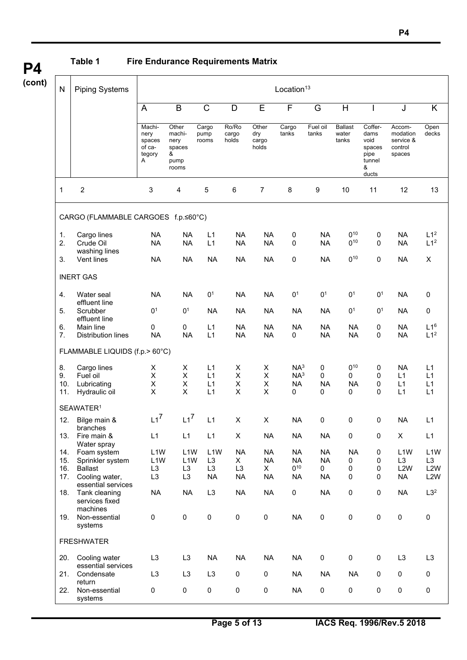**P4 (cont)**

 $\overline{a}$ 

# **Table 1 Fire Endurance Requirements Matrix**

| $\mathsf{N}$ | <b>Piping Systems</b>                       | Location <sup>13</sup>                            |                                                         |                                    |                         |                                |                        |                        |                                  |                                                                   |                                                      |                                    |
|--------------|---------------------------------------------|---------------------------------------------------|---------------------------------------------------------|------------------------------------|-------------------------|--------------------------------|------------------------|------------------------|----------------------------------|-------------------------------------------------------------------|------------------------------------------------------|------------------------------------|
|              |                                             | A                                                 | B                                                       | $\mathsf C$                        | D                       | E                              | F                      | G                      | H                                |                                                                   | J                                                    | K                                  |
|              |                                             | Machi-<br>nery<br>spaces<br>of ca-<br>tegory<br>Α | Other<br>machi-<br>nery<br>spaces<br>&<br>pump<br>rooms | Cargo<br>pump<br>rooms             | Ro/Ro<br>cargo<br>holds | Other<br>dry<br>cargo<br>holds | Cargo<br>tanks         | Fuel oil<br>tanks      | <b>Ballast</b><br>water<br>tanks | Coffer-<br>dams<br>void<br>spaces<br>pipe<br>tunnel<br>&<br>ducts | Accom-<br>modation<br>service &<br>control<br>spaces | Open<br>decks                      |
| 1            | $\boldsymbol{2}$                            | 3                                                 | 4                                                       | 5                                  | 6                       | $\overline{7}$                 | 8                      | 9                      | 10                               | 11                                                                | 12                                                   | 13                                 |
|              | CARGO (FLAMMABLE CARGOES f.p.≤60°C)         |                                                   |                                                         |                                    |                         |                                |                        |                        |                                  |                                                                   |                                                      |                                    |
| 1.<br>2.     | Cargo lines<br>Crude Oil<br>washing lines   | <b>NA</b><br><b>NA</b>                            | <b>NA</b><br><b>NA</b>                                  | L1<br>L1                           | <b>NA</b><br><b>NA</b>  | <b>NA</b><br><b>NA</b>         | $\pmb{0}$<br>0         | <b>NA</b><br><b>NA</b> | $0^{10}$<br>$0^{10}$             | 0<br>0                                                            | <b>NA</b><br><b>NA</b>                               | L1 <sup>2</sup><br>L1 <sup>2</sup> |
| 3.           | Vent lines                                  | <b>NA</b>                                         | <b>NA</b>                                               | <b>NA</b>                          | <b>NA</b>               | <b>NA</b>                      | 0                      | <b>NA</b>              | $0^{10}$                         | 0                                                                 | <b>NA</b>                                            | X                                  |
|              | <b>INERT GAS</b>                            |                                                   |                                                         |                                    |                         |                                |                        |                        |                                  |                                                                   |                                                      |                                    |
| 4.           | Water seal<br>effluent line                 | <b>NA</b>                                         | <b>NA</b>                                               | 0 <sup>1</sup>                     | <b>NA</b>               | <b>NA</b>                      | 0 <sup>1</sup>         | 0 <sup>1</sup>         | 0 <sup>1</sup>                   | 0 <sup>1</sup>                                                    | <b>NA</b>                                            | 0                                  |
| 5.           | Scrubber<br>effluent line                   | 0 <sup>1</sup>                                    | 0 <sup>1</sup>                                          | <b>NA</b>                          | <b>NA</b>               | <b>NA</b>                      | <b>NA</b>              | <b>NA</b>              | 0 <sup>1</sup>                   | 0 <sup>1</sup>                                                    | <b>NA</b>                                            | 0                                  |
| 6.<br>7.     | Main line<br><b>Distribution lines</b>      | 0<br><b>NA</b>                                    | 0<br><b>NA</b>                                          | L1<br>L1                           | <b>NA</b><br><b>NA</b>  | <b>NA</b><br><b>NA</b>         | <b>NA</b><br>0         | <b>NA</b><br><b>NA</b> | <b>NA</b><br><b>NA</b>           | 0<br>0                                                            | <b>NA</b><br><b>NA</b>                               | L1 <sup>6</sup><br>L1 <sup>2</sup> |
|              | FLAMMABLE LIQUIDS (f.p.> 60°C)              |                                                   |                                                         |                                    |                         |                                |                        |                        |                                  |                                                                   |                                                      |                                    |
| 8.           | Cargo lines                                 | х                                                 | х                                                       | L1                                 | X                       | х                              | NA <sup>3</sup>        | 0                      | $0^{10}$                         | 0                                                                 | <b>NA</b>                                            | L1                                 |
| 9.           | Fuel oil                                    | $\pmb{\mathsf{X}}$                                | $\mathsf X$                                             | L1                                 | X                       | X                              | NA <sup>3</sup>        | 0                      | 0                                | 0                                                                 | L1                                                   | L1                                 |
| 10.          | Lubricating                                 | $\mathsf X$                                       | X                                                       | L1                                 | X                       | X                              | <b>NA</b>              | <b>NA</b>              | <b>NA</b>                        | 0                                                                 | L1                                                   | L1                                 |
| 11.          | Hydraulic oil                               | $\mathsf X$                                       | X                                                       | L1                                 | X                       | X                              | 0                      | 0                      | 0                                | 0                                                                 | L1                                                   | L1                                 |
|              | SEAWATER <sup>1</sup>                       |                                                   |                                                         |                                    |                         |                                |                        |                        |                                  |                                                                   |                                                      |                                    |
| 12.          | Bilge main &<br>branches                    | $L1^7$                                            | $L1^7$                                                  | L1                                 | X                       | X                              | <b>NA</b>              | 0                      | 0                                | 0                                                                 | <b>NA</b>                                            | L1                                 |
| 13.          | Fire main &<br>Water spray                  | L1                                                | L1                                                      | L1                                 | X                       | <b>NA</b>                      | <b>NA</b>              | <b>NA</b>              | $\pmb{0}$                        | 0                                                                 | X                                                    | L1                                 |
| 14.<br>15.   | Foam system<br>Sprinkler system             | L <sub>1</sub> W<br>L <sub>1</sub> W              | L <sub>1</sub> W<br>L <sub>1</sub> W                    | L <sub>1</sub> W<br>L <sub>3</sub> | <b>NA</b><br>X.         | <b>NA</b><br><b>NA</b>         | <b>NA</b><br><b>NA</b> | <b>NA</b><br><b>NA</b> | <b>NA</b><br>0                   | 0<br>0                                                            | L <sub>1</sub> W<br>L <sub>3</sub>                   | L <sub>1</sub> W<br>L <sub>3</sub> |
| 16.          | <b>Ballast</b>                              | L <sub>3</sub>                                    | L <sub>3</sub>                                          | L <sub>3</sub>                     | L <sub>3</sub>          | X.                             | $0^{10}$               | 0                      | 0                                | 0                                                                 | L <sub>2</sub> W                                     | L <sub>2</sub> W                   |
| 17.          | Cooling water,<br>essential services        | L <sub>3</sub>                                    | L <sub>3</sub>                                          | <b>NA</b>                          | <b>NA</b>               | <b>NA</b>                      | <b>NA</b>              | <b>NA</b>              | $\pmb{0}$                        | 0                                                                 | <b>NA</b>                                            | L <sub>2</sub> W                   |
| 18.          | Tank cleaning<br>services fixed<br>machines | <b>NA</b>                                         | <b>NA</b>                                               | L <sub>3</sub>                     | <b>NA</b>               | <b>NA</b>                      | $\pmb{0}$              | <b>NA</b>              | $\pmb{0}$                        | $\pmb{0}$                                                         | <b>NA</b>                                            | L3 <sup>2</sup>                    |
| 19.          | Non-essential<br>systems                    | $\pmb{0}$                                         | $\pmb{0}$                                               | $\pmb{0}$                          | $\pmb{0}$               | 0                              | <b>NA</b>              | $\mathbf 0$            | $\mathbf 0$                      | $\pmb{0}$                                                         | 0                                                    | $\mathbf 0$                        |
|              | <b>FRESHWATER</b>                           |                                                   |                                                         |                                    |                         |                                |                        |                        |                                  |                                                                   |                                                      |                                    |
| 20.          | Cooling water<br>essential services         | L <sub>3</sub>                                    | L <sub>3</sub>                                          | <b>NA</b>                          | <b>NA</b>               | <b>NA</b>                      | <b>NA</b>              | $\pmb{0}$              | $\pmb{0}$                        | $\pmb{0}$                                                         | L <sub>3</sub>                                       | L <sub>3</sub>                     |
| 21.          | Condensate<br>return                        | L <sub>3</sub>                                    | L <sub>3</sub>                                          | L <sub>3</sub>                     | 0                       | 0                              | <b>NA</b>              | <b>NA</b>              | <b>NA</b>                        | $\mathbf 0$                                                       | 0                                                    | $\pmb{0}$                          |
| 22.          | Non-essential<br>systems                    | $\mathbf 0$                                       | $\mathbf 0$                                             | 0                                  | $\pmb{0}$               | 0                              | <b>NA</b>              | 0                      | $\mathbf 0$                      | $\pmb{0}$                                                         | 0                                                    | $\pmb{0}$                          |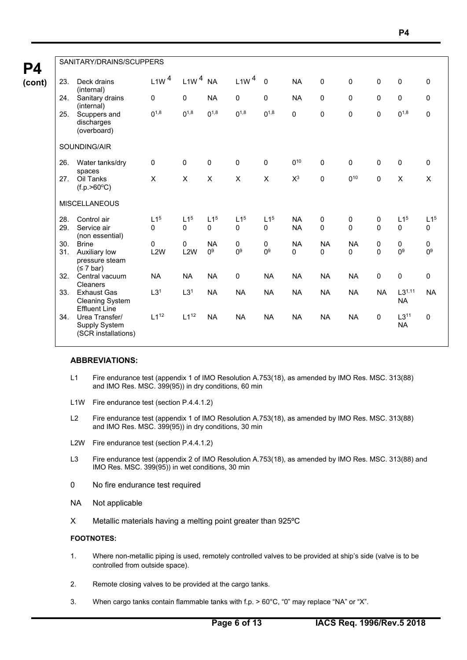|     | SANITARY/DRAINS/SCUPPERS                                             |                  |                  |                 |                  |                 |                 |              |             |              |                          |                 |
|-----|----------------------------------------------------------------------|------------------|------------------|-----------------|------------------|-----------------|-----------------|--------------|-------------|--------------|--------------------------|-----------------|
| 23. | Deck drains<br>(internal)                                            | L1W <sup>4</sup> | $L1W4$ NA        |                 | L1W <sup>4</sup> | $\mathbf 0$     | <b>NA</b>       | $\pmb{0}$    | $\pmb{0}$   | $\mathbf 0$  | $\mathbf 0$              | 0               |
| 24. | Sanitary drains<br>(internal)                                        | 0                | 0                | <b>NA</b>       | $\mathbf 0$      | $\pmb{0}$       | <b>NA</b>       | 0            | 0           | $\mathbf{0}$ | $\pmb{0}$                | $\mathbf 0$     |
| 25. | Scuppers and<br>discharges<br>(overboard)                            | $0^{1,8}$        | $0^{1,8}$        | $0^{1,8}$       | $0^{1,8}$        | $0^{1,8}$       | $\mathbf 0$     | $\Omega$     | $\pmb{0}$   | $\Omega$     | $0^{1,8}$                | $\pmb{0}$       |
|     | SOUNDING/AIR                                                         |                  |                  |                 |                  |                 |                 |              |             |              |                          |                 |
| 26. | Water tanks/dry<br>spaces                                            | 0                | 0                | 0               | 0                | 0               | 0 <sup>10</sup> | $\mathbf 0$  | $\mathbf 0$ | $\mathbf 0$  | $\mathbf 0$              | $\mathbf 0$     |
| 27. | Oil Tanks<br>(f.p. > 60°C)                                           | X                | X                | $\pmb{\times}$  | $\pmb{\times}$   | X               | $X^3$           | $\pmb{0}$    | $0^{10}$    | $\mathbf 0$  | X                        | $\pmb{\times}$  |
|     | <b>MISCELLANEOUS</b>                                                 |                  |                  |                 |                  |                 |                 |              |             |              |                          |                 |
| 28. | Control air                                                          | L1 <sup>5</sup>  | L1 <sup>5</sup>  | L1 <sup>5</sup> | L1 <sup>5</sup>  | L1 <sup>5</sup> | <b>NA</b>       | 0            | 0           | 0            | L1 <sup>5</sup>          | L1 <sup>5</sup> |
| 29. | Service air<br>(non essential)                                       | $\Omega$         | $\Omega$         | $\mathbf{0}$    | $\mathbf{0}$     | $\mathbf{0}$    | <b>NA</b>       | $\Omega$     | $\Omega$    | $\Omega$     | $\mathbf{0}$             | $\mathbf{0}$    |
| 30. | <b>Brine</b>                                                         | $\Omega$         | 0                | <b>NA</b>       | $\mathbf 0$      | 0               | <b>NA</b>       | <b>NA</b>    | <b>NA</b>   | 0            | 0                        | $\pmb{0}$       |
| 31. | Auxiliary low<br>pressure steam<br>(≤ 7 bar)                         | L <sub>2</sub> W | L <sub>2</sub> W | 0 <sup>9</sup>  | 0 <sup>9</sup>   | 0 <sup>9</sup>  | 0               | $\mathbf{0}$ | 0           | $\Omega$     | 0 <sup>9</sup>           | 0 <sup>9</sup>  |
| 32. | Central vacuum<br>Cleaners                                           | <b>NA</b>        | <b>NA</b>        | <b>NA</b>       | $\mathbf 0$      | <b>NA</b>       | <b>NA</b>       | <b>NA</b>    | <b>NA</b>   | $\mathbf{0}$ | $\mathbf 0$              | $\mathbf 0$     |
| 33. | <b>Exhaust Gas</b><br><b>Cleaning System</b><br><b>Effluent Line</b> | L3 <sup>1</sup>  | L3 <sup>1</sup>  | <b>NA</b>       | <b>NA</b>        | <b>NA</b>       | <b>NA</b>       | <b>NA</b>    | <b>NA</b>   | <b>NA</b>    | $L3^{1,11}$<br><b>NA</b> | <b>NA</b>       |
| 34. | Urea Transfer/<br>Supply System<br>(SCR installations)               | $L1^{12}$        | $L1^{12}$        | <b>NA</b>       | <b>NA</b>        | <b>NA</b>       | <b>NA</b>       | <b>NA</b>    | <b>NA</b>   | $\mathbf 0$  | $L3^{11}$<br><b>NA</b>   | $\mathbf 0$     |

#### **ABBREVIATIONS:**

- L1 Fire endurance test (appendix 1 of IMO Resolution A.753(18), as amended by IMO Res. MSC. 313(88) and IMO Res. MSC. 399(95)) in dry conditions, 60 min
- L1W Fire endurance test (section P.4.4.1.2)
- L2 Fire endurance test (appendix 1 of IMO Resolution A.753(18), as amended by IMO Res. MSC. 313(88) and IMO Res. MSC. 399(95)) in dry conditions, 30 min
- L2W Fire endurance test (section P.4.4.1.2)
- L3 Fire endurance test (appendix 2 of IMO Resolution A.753(18), as amended by IMO Res. MSC. 313(88) and IMO Res. MSC. 399(95)) in wet conditions, 30 min
- 0 No fire endurance test required
- NA Not applicable
- X Metallic materials having a melting point greater than 925ºC

#### **FOOTNOTES:**

 $\overline{a}$ 

- 1. Where non-metallic piping is used, remotely controlled valves to be provided at ship's side (valve is to be controlled from outside space).
- 2. Remote closing valves to be provided at the cargo tanks.
- 3. When cargo tanks contain flammable tanks with f.p. > 60°C, "0" may replace "NA" or "X".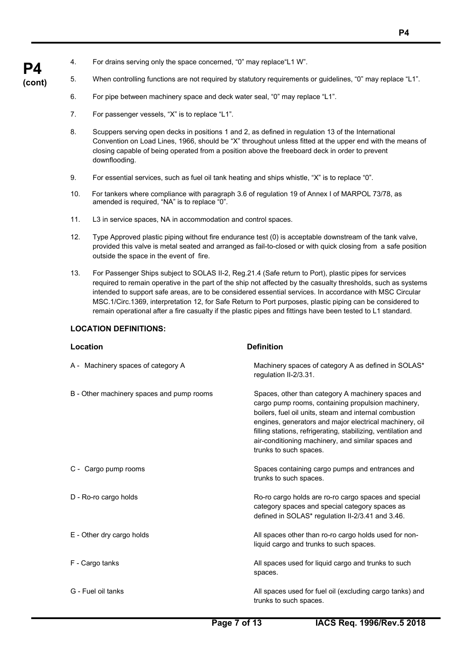- 4. For drains serving only the space concerned, "0" may replace"L1 W".
- **(cont)** 5. When controlling functions are not required by statutory requirements or guidelines, "0" may replace "L1".
	- 6. For pipe between machinery space and deck water seal, "0" may replace "L1".
	- 7. For passenger vessels, "X" is to replace "L1".

**P4** 

- 8. Scuppers serving open decks in positions 1 and 2, as defined in regulation 13 of the International Convention on Load Lines, 1966, should be "X" throughout unless fitted at the upper end with the means of closing capable of being operated from a position above the freeboard deck in order to prevent downflooding.
- 9. For essential services, such as fuel oil tank heating and ships whistle, "X" is to replace "0".
- 10. For tankers where compliance with paragraph 3.6 of regulation 19 of Annex I of MARPOL 73/78, as amended is required, "NA" is to replace "0".
- 11. L3 in service spaces, NA in accommodation and control spaces.
- 12. Type Approved plastic piping without fire endurance test (0) is acceptable downstream of the tank valve, provided this valve is metal seated and arranged as fail-to-closed or with quick closing from a safe position outside the space in the event of fire.
- 13. For Passenger Ships subject to SOLAS II-2, Reg.21.4 (Safe return to Port), plastic pipes for services required to remain operative in the part of the ship not affected by the casualty thresholds, such as systems intended to support safe areas, are to be considered essential services. In accordance with MSC Circular MSC.1/Circ.1369, interpretation 12, for Safe Return to Port purposes, plastic piping can be considered to remain operational after a fire casualty if the plastic pipes and fittings have been tested to L1 standard.

## **LOCATION DEFINITIONS:**

 $\overline{a}$ 

| Location                                  | <b>Definition</b>                                                                                                                                                                                                                                                                                                                                                              |
|-------------------------------------------|--------------------------------------------------------------------------------------------------------------------------------------------------------------------------------------------------------------------------------------------------------------------------------------------------------------------------------------------------------------------------------|
| A - Machinery spaces of category A        | Machinery spaces of category A as defined in SOLAS*<br>regulation II-2/3.31.                                                                                                                                                                                                                                                                                                   |
| B - Other machinery spaces and pump rooms | Spaces, other than category A machinery spaces and<br>cargo pump rooms, containing propulsion machinery,<br>boilers, fuel oil units, steam and internal combustion<br>engines, generators and major electrical machinery, oil<br>filling stations, refrigerating, stabilizing, ventilation and<br>air-conditioning machinery, and similar spaces and<br>trunks to such spaces. |
| C - Cargo pump rooms                      | Spaces containing cargo pumps and entrances and<br>trunks to such spaces.                                                                                                                                                                                                                                                                                                      |
| D - Ro-ro cargo holds                     | Ro-ro cargo holds are ro-ro cargo spaces and special<br>category spaces and special category spaces as<br>defined in SOLAS* regulation II-2/3.41 and 3.46.                                                                                                                                                                                                                     |
| E - Other dry cargo holds                 | All spaces other than ro-ro cargo holds used for non-<br>liquid cargo and trunks to such spaces.                                                                                                                                                                                                                                                                               |
| F - Cargo tanks                           | All spaces used for liquid cargo and trunks to such<br>spaces.                                                                                                                                                                                                                                                                                                                 |
| G - Fuel oil tanks                        | All spaces used for fuel oil (excluding cargo tanks) and<br>trunks to such spaces.                                                                                                                                                                                                                                                                                             |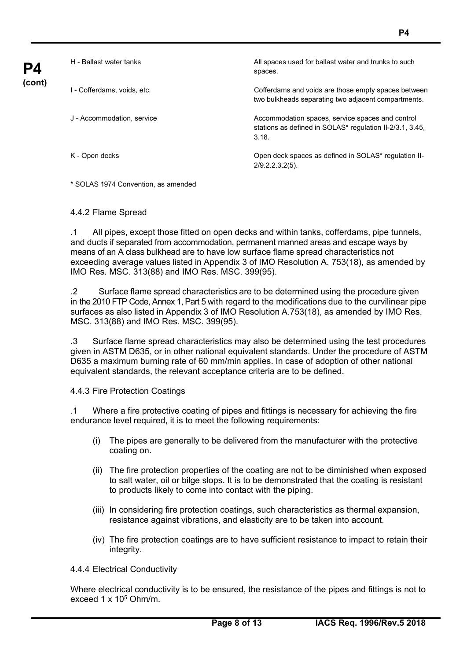| P4     | H - Ballast water tanks     | All spaces used for ballast water and trunks to such<br>spaces.                                                       |
|--------|-----------------------------|-----------------------------------------------------------------------------------------------------------------------|
| (cont) | I - Cofferdams. voids. etc. | Cofferdams and voids are those empty spaces between<br>two bulkheads separating two adjacent compartments.            |
|        | J - Accommodation, service  | Accommodation spaces, service spaces and control<br>stations as defined in SOLAS* regulation II-2/3.1, 3.45,<br>3.18. |
|        | K - Open decks              | Open deck spaces as defined in SOLAS* regulation II-<br>$2/9.2.2.3.2(5)$ .                                            |

\* SOLAS 1974 Convention, as amended

#### 4.4.2 Flame Spread

.1 All pipes, except those fitted on open decks and within tanks, cofferdams, pipe tunnels, and ducts if separated from accommodation, permanent manned areas and escape ways by means of an A class bulkhead are to have low surface flame spread characteristics not exceeding average values listed in Appendix 3 of IMO Resolution A. 753(18), as amended by IMO Res. MSC. 313(88) and IMO Res. MSC. 399(95).

.2 Surface flame spread characteristics are to be determined using the procedure given in the 2010 FTP Code, Annex 1, Part 5 with regard to the modifications due to the curvilinear pipe surfaces as also listed in Appendix 3 of IMO Resolution A.753(18), as amended by IMO Res. MSC. 313(88) and IMO Res. MSC. 399(95).

.3 Surface flame spread characteristics may also be determined using the test procedures given in ASTM D635, or in other national equivalent standards. Under the procedure of ASTM D635 a maximum burning rate of 60 mm/min applies. In case of adoption of other national equivalent standards, the relevant acceptance criteria are to be defined.

4.4.3 Fire Protection Coatings

.1 Where a fire protective coating of pipes and fittings is necessary for achieving the fire endurance level required, it is to meet the following requirements:

- (i) The pipes are generally to be delivered from the manufacturer with the protective coating on.
- (ii) The fire protection properties of the coating are not to be diminished when exposed to salt water, oil or bilge slops. It is to be demonstrated that the coating is resistant to products likely to come into contact with the piping.
- (iii) In considering fire protection coatings, such characteristics as thermal expansion, resistance against vibrations, and elasticity are to be taken into account.
- (iv) The fire protection coatings are to have sufficient resistance to impact to retain their integrity.

4.4.4 Electrical Conductivity

 $\overline{a}$ 

Where electrical conductivity is to be ensured, the resistance of the pipes and fittings is not to exceed  $1 \times 10^5$  Ohm/m.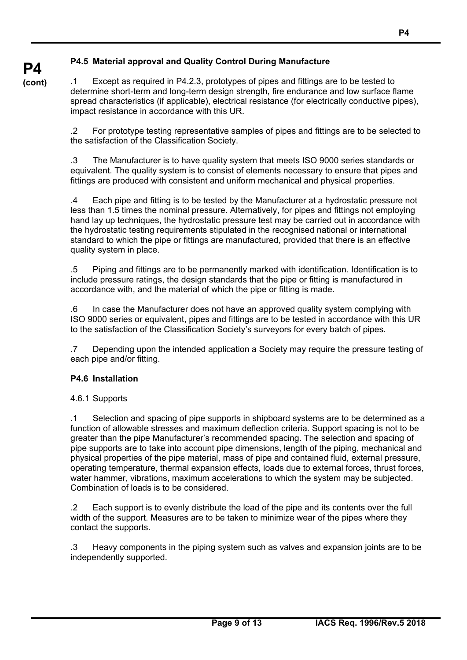# **P4.5 Material approval and Quality Control During Manufacture**

**P4 (cont)**

.1 Except as required in P4.2.3, prototypes of pipes and fittings are to be tested to determine short-term and long-term design strength, fire endurance and low surface flame spread characteristics (if applicable), electrical resistance (for electrically conductive pipes), impact resistance in accordance with this UR.

.2 For prototype testing representative samples of pipes and fittings are to be selected to the satisfaction of the Classification Society.

.3 The Manufacturer is to have quality system that meets ISO 9000 series standards or equivalent. The quality system is to consist of elements necessary to ensure that pipes and fittings are produced with consistent and uniform mechanical and physical properties.

.4 Each pipe and fitting is to be tested by the Manufacturer at a hydrostatic pressure not less than 1.5 times the nominal pressure. Alternatively, for pipes and fittings not employing hand lay up techniques, the hydrostatic pressure test may be carried out in accordance with the hydrostatic testing requirements stipulated in the recognised national or international standard to which the pipe or fittings are manufactured, provided that there is an effective quality system in place.

.5 Piping and fittings are to be permanently marked with identification. Identification is to include pressure ratings, the design standards that the pipe or fitting is manufactured in accordance with, and the material of which the pipe or fitting is made.

.6 In case the Manufacturer does not have an approved quality system complying with ISO 9000 series or equivalent, pipes and fittings are to be tested in accordance with this UR to the satisfaction of the Classification Society's surveyors for every batch of pipes.

.7 Depending upon the intended application a Society may require the pressure testing of each pipe and/or fitting.

# **P4.6 Installation**

4.6.1 Supports

 $\overline{a}$ 

.1 Selection and spacing of pipe supports in shipboard systems are to be determined as a function of allowable stresses and maximum deflection criteria. Support spacing is not to be greater than the pipe Manufacturer's recommended spacing. The selection and spacing of pipe supports are to take into account pipe dimensions, length of the piping, mechanical and physical properties of the pipe material, mass of pipe and contained fluid, external pressure, operating temperature, thermal expansion effects, loads due to external forces, thrust forces, water hammer, vibrations, maximum accelerations to which the system may be subjected. Combination of loads is to be considered.

.2 Each support is to evenly distribute the load of the pipe and its contents over the full width of the support. Measures are to be taken to minimize wear of the pipes where they contact the supports.

.3 Heavy components in the piping system such as valves and expansion joints are to be independently supported.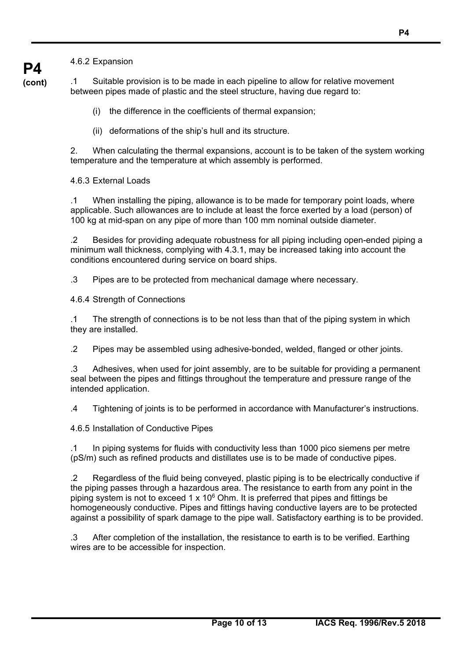**P4 (cont)**

.1 Suitable provision is to be made in each pipeline to allow for relative movement between pipes made of plastic and the steel structure, having due regard to:

- (i) the difference in the coefficients of thermal expansion;
- (ii) deformations of the ship's hull and its structure.

2. When calculating the thermal expansions, account is to be taken of the system working temperature and the temperature at which assembly is performed.

4.6.3 External Loads

.1 When installing the piping, allowance is to be made for temporary point loads, where applicable. Such allowances are to include at least the force exerted by a load (person) of 100 kg at mid-span on any pipe of more than 100 mm nominal outside diameter.

.2 Besides for providing adequate robustness for all piping including open-ended piping a minimum wall thickness, complying with 4.3.1, may be increased taking into account the conditions encountered during service on board ships.

.3 Pipes are to be protected from mechanical damage where necessary.

4.6.4 Strength of Connections

.1 The strength of connections is to be not less than that of the piping system in which they are installed.

.2 Pipes may be assembled using adhesive-bonded, welded, flanged or other joints.

.3 Adhesives, when used for joint assembly, are to be suitable for providing a permanent seal between the pipes and fittings throughout the temperature and pressure range of the intended application.

.4 Tightening of joints is to be performed in accordance with Manufacturer's instructions.

4.6.5 Installation of Conductive Pipes

 $\overline{a}$ 

.1 In piping systems for fluids with conductivity less than 1000 pico siemens per metre (pS/m) such as refined products and distillates use is to be made of conductive pipes.

.2 Regardless of the fluid being conveyed, plastic piping is to be electrically conductive if the piping passes through a hazardous area. The resistance to earth from any point in the piping system is not to exceed 1 x 106 Ohm. It is preferred that pipes and fittings be homogeneously conductive. Pipes and fittings having conductive layers are to be protected against a possibility of spark damage to the pipe wall. Satisfactory earthing is to be provided.

.3 After completion of the installation, the resistance to earth is to be verified. Earthing wires are to be accessible for inspection.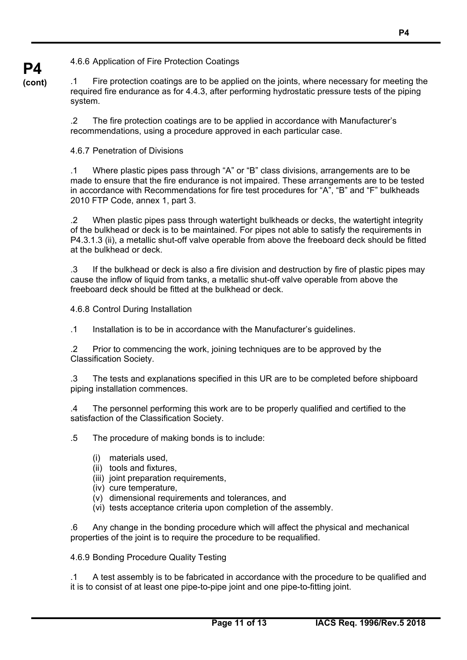4.6.6 Application of Fire Protection Coatings

.1 Fire protection coatings are to be applied on the joints, where necessary for meeting the required fire endurance as for 4.4.3, after performing hydrostatic pressure tests of the piping system.

.2 The fire protection coatings are to be applied in accordance with Manufacturer's recommendations, using a procedure approved in each particular case.

4.6.7 Penetration of Divisions

**P4 (cont)**

> .1 Where plastic pipes pass through "A" or "B" class divisions, arrangements are to be made to ensure that the fire endurance is not impaired. These arrangements are to be tested in accordance with Recommendations for fire test procedures for "A", "B" and "F" bulkheads 2010 FTP Code, annex 1, part 3.

> .2 When plastic pipes pass through watertight bulkheads or decks, the watertight integrity of the bulkhead or deck is to be maintained. For pipes not able to satisfy the requirements in P4.3.1.3 (ii), a metallic shut-off valve operable from above the freeboard deck should be fitted at the bulkhead or deck.

> .3 If the bulkhead or deck is also a fire division and destruction by fire of plastic pipes may cause the inflow of liquid from tanks, a metallic shut-off valve operable from above the freeboard deck should be fitted at the bulkhead or deck.

4.6.8 Control During Installation

.1 Installation is to be in accordance with the Manufacturer's guidelines.

.2 Prior to commencing the work, joining techniques are to be approved by the Classification Society.

.3 The tests and explanations specified in this UR are to be completed before shipboard piping installation commences.

.4 The personnel performing this work are to be properly qualified and certified to the satisfaction of the Classification Society.

.5 The procedure of making bonds is to include:

- (i) materials used,
- (ii) tools and fixtures,
- (iii) joint preparation requirements,
- (iv) cure temperature,
- (v) dimensional requirements and tolerances, and
- (vi) tests acceptance criteria upon completion of the assembly.

.6 Any change in the bonding procedure which will affect the physical and mechanical properties of the joint is to require the procedure to be requalified.

4.6.9 Bonding Procedure Quality Testing

 $\overline{a}$ 

.1 A test assembly is to be fabricated in accordance with the procedure to be qualified and it is to consist of at least one pipe-to-pipe joint and one pipe-to-fitting joint.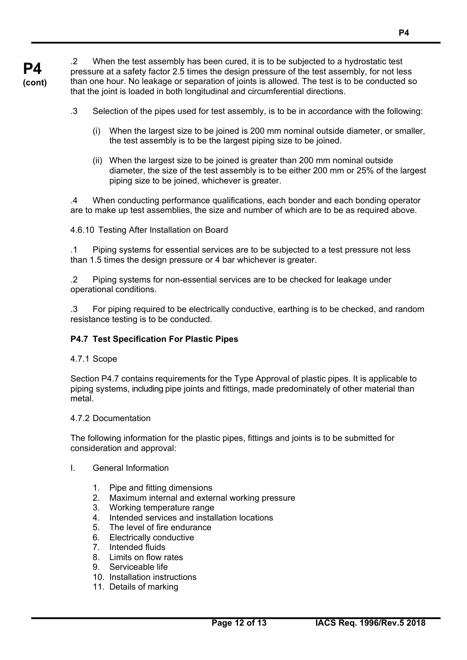**P4 (cont)** .2 When the test assembly has been cured, it is to be subjected to a hydrostatic test pressure at a safety factor 2.5 times the design pressure of the test assembly, for not less than one hour. No leakage or separation of joints is allowed. The test is to be conducted so that the joint is loaded in both longitudinal and circumferential directions.

- .3 Selection of the pipes used for test assembly, is to be in accordance with the following:
	- (i) When the largest size to be joined is 200 mm nominal outside diameter, or smaller, the test assembly is to be the largest piping size to be joined.
	- (ii) When the largest size to be joined is greater than 200 mm nominal outside diameter, the size of the test assembly is to be either 200 mm or 25% of the largest piping size to be joined, whichever is greater.

.4 When conducting performance qualifications, each bonder and each bonding operator are to make up test assemblies, the size and number of which are to be as required above.

4.6.10 Testing After Installation on Board

.1 Piping systems for essential services are to be subjected to a test pressure not less than 1.5 times the design pressure or 4 bar whichever is greater.

.2 Piping systems for non-essential services are to be checked for leakage under operational conditions.

.3 For piping required to be electrically conductive, earthing is to be checked, and random resistance testing is to be conducted.

# **P4.7 Test Specification For Plastic Pipes**

4.7.1 Scope

Section P4.7 contains requirements for the Type Approval of plastic pipes. It is applicable to piping systems, including pipe joints and fittings, made predominately of other material than metal.

# 4.7.2 Documentation

The following information for the plastic pipes, fittings and joints is to be submitted for consideration and approval:

- I. General Information
	- 1. Pipe and fitting dimensions
	- 2. Maximum internal and external working pressure
	- 3. Working temperature range
	- 4. Intended services and installation locations
	- 5. The level of fire endurance
	- 6. Electrically conductive
	- 7. Intended fluids
	- 8. Limits on flow rates
	- 9. Serviceable life

 $\overline{a}$ 

- 10. Installation instructions
- 11. Details of marking